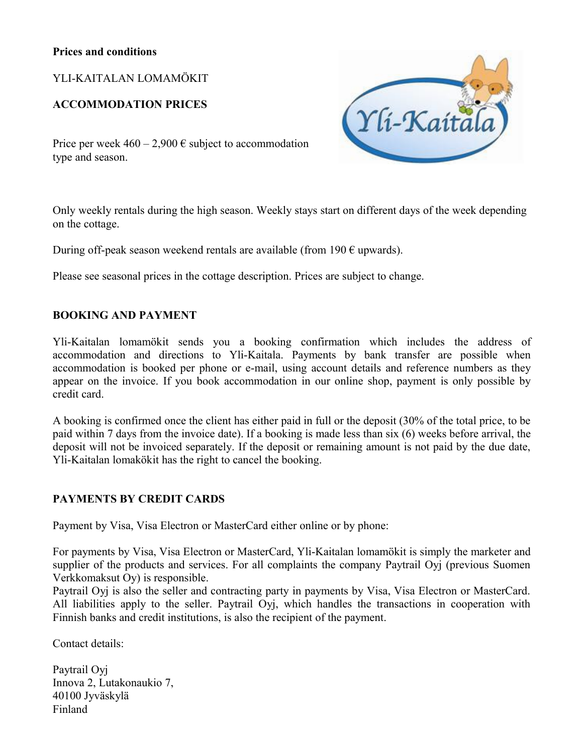#### **Prices and conditions**

YLI-KAITALAN LOMAMÖKIT

## **ACCOMMODATION PRICES**



Price per week  $460 - 2,900 \in$  subject to accommodation type and season.

Only weekly rentals during the high season. Weekly stays start on different days of the week depending on the cottage.

During off-peak season weekend rentals are available (from  $190 \in \text{upwards}$ ).

Please see seasonal prices in the cottage description. Prices are subject to change.

### **BOOKING AND PAYMENT**

Yli-Kaitalan lomamökit sends you a booking confirmation which includes the address of accommodation and directions to Yli-Kaitala. Payments by bank transfer are possible when accommodation is booked per phone or e-mail, using account details and reference numbers as they appear on the invoice. If you book accommodation in our online shop, payment is only possible by credit card.

A booking is confirmed once the client has either paid in full or the deposit (30% of the total price, to be paid within 7 days from the invoice date). If a booking is made less than six (6) weeks before arrival, the deposit will not be invoiced separately. If the deposit or remaining amount is not paid by the due date, Yli-Kaitalan lomakökit has the right to cancel the booking.

### **PAYMENTS BY CREDIT CARDS**

Payment by Visa, Visa Electron or MasterCard either online or by phone:

For payments by Visa, Visa Electron or MasterCard, Yli-Kaitalan lomamökit is simply the marketer and supplier of the products and services. For all complaints the company Paytrail Oyj (previous Suomen Verkkomaksut Oy) is responsible.

Paytrail Oyj is also the seller and contracting party in payments by Visa, Visa Electron or MasterCard. All liabilities apply to the seller. Paytrail Oyj, which handles the transactions in cooperation with Finnish banks and credit institutions, is also the recipient of the payment.

Contact details:

Paytrail Oyj Innova 2, Lutakonaukio 7, 40100 Jyväskylä Finland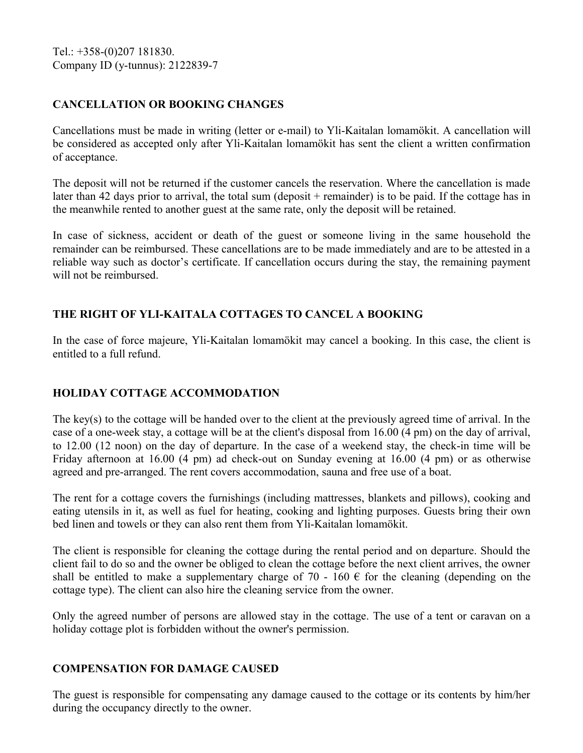Tel.: +358-(0)207 181830. Company ID (y-tunnus): 2122839-7

# **CANCELLATION OR BOOKING CHANGES**

Cancellations must be made in writing (letter or e-mail) to Yli-Kaitalan lomamökit. A cancellation will be considered as accepted only after Yli-Kaitalan lomamökit has sent the client a written confirmation of acceptance.

The deposit will not be returned if the customer cancels the reservation. Where the cancellation is made later than 42 days prior to arrival, the total sum (deposit + remainder) is to be paid. If the cottage has in the meanwhile rented to another guest at the same rate, only the deposit will be retained.

In case of sickness, accident or death of the guest or someone living in the same household the remainder can be reimbursed. These cancellations are to be made immediately and are to be attested in a reliable way such as doctor's certificate. If cancellation occurs during the stay, the remaining payment will not be reimbursed.

# **THE RIGHT OF YLI-KAITALA COTTAGES TO CANCEL A BOOKING**

In the case of force majeure, Yli-Kaitalan lomamökit may cancel a booking. In this case, the client is entitled to a full refund.

### **HOLIDAY COTTAGE ACCOMMODATION**

The key(s) to the cottage will be handed over to the client at the previously agreed time of arrival. In the case of a one-week stay, a cottage will be at the client's disposal from 16.00 (4 pm) on the day of arrival, to 12.00 (12 noon) on the day of departure. In the case of a weekend stay, the check-in time will be Friday afternoon at 16.00 (4 pm) ad check-out on Sunday evening at 16.00 (4 pm) or as otherwise agreed and pre-arranged. The rent covers accommodation, sauna and free use of a boat.

The rent for a cottage covers the furnishings (including mattresses, blankets and pillows), cooking and eating utensils in it, as well as fuel for heating, cooking and lighting purposes. Guests bring their own bed linen and towels or they can also rent them from Yli-Kaitalan lomamökit.

The client is responsible for cleaning the cottage during the rental period and on departure. Should the client fail to do so and the owner be obliged to clean the cottage before the next client arrives, the owner shall be entitled to make a supplementary charge of 70 - 160  $\epsilon$  for the cleaning (depending on the cottage type). The client can also hire the cleaning service from the owner.

Only the agreed number of persons are allowed stay in the cottage. The use of a tent or caravan on a holiday cottage plot is forbidden without the owner's permission.

### **COMPENSATION FOR DAMAGE CAUSED**

The guest is responsible for compensating any damage caused to the cottage or its contents by him/her during the occupancy directly to the owner.